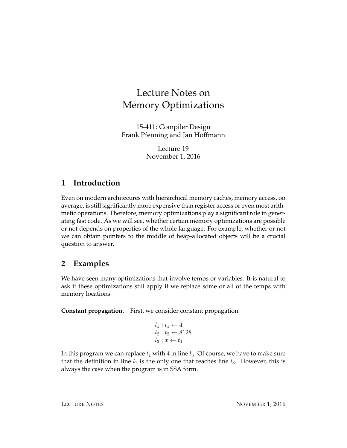# Lecture Notes on Memory Optimizations

15-411: Compiler Design Frank Pfenning and Jan Hoffmann

> Lecture 19 November 1, 2016

## **1 Introduction**

Even on modern architecures with hierarchical memory caches, memory access, on average, is still significantly more expensive than register access or even most arithmetic operations. Therefore, memory optimizations play a significant role in generating fast code. As we will see, whether certain memory optimizations are possible or not depends on properties of the whole language. For example, whether or not we can obtain pointers to the middle of heap-allocated objects will be a crucial question to answer.

# **2 Examples**

We have seen many optimizations that involve temps or variables. It is natural to ask if these optimizations still apply if we replace some or all of the temps with memory locations.

**Constant propagation.** First, we consider constant propagation.

$$
l_1: t_1 \leftarrow 4
$$
  

$$
l_2: t_2 \leftarrow 8128
$$
  

$$
l_3: x \leftarrow t_1
$$

In this program we can replace  $t_1$  with 4 in line  $l_3$ . Of course, we have to make sure that the definition in line  $l_1$  is the only one that reaches line  $l_3$ . However, this is always the case when the program is in SSA form.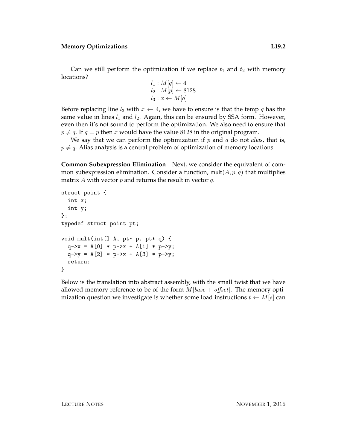Can we still perform the optimization if we replace  $t_1$  and  $t_2$  with memory locations?

$$
l_1: M[q] \leftarrow 4
$$
  

$$
l_2: M[p] \leftarrow 8128
$$
  

$$
l_3: x \leftarrow M[q]
$$

Before replacing line  $l_3$  with  $x \leftarrow 4$ , we have to ensure is that the temp q has the same value in lines  $l_1$  and  $l_2$ . Again, this can be ensured by SSA form. However, even then it's not sound to perform the optimization. We also need to ensure that  $p \neq q$ . If  $q = p$  then x would have the value 8128 in the original program.

We say that we can perform the optimization if p and q do not *alias*, that is,  $p \neq q$ . Alias analysis is a central problem of optimization of memory locations.

**Common Subexpression Elimination** Next, we consider the equivalent of common subexpression elimination. Consider a function, mult $(A, p, q)$  that multiplies matrix A with vector  $p$  and returns the result in vector  $q$ .

```
struct point {
  int x;
  int y;
};
typedef struct point pt;
void mult(int[] A, pt* p, pt* q) {
  q \rightarrow x = A[0] * p \rightarrow x + A[1] * p \rightarrow y;q - y = A[2] * p - x + A[3] * p - y;return;
}
```
Below is the translation into abstract assembly, with the small twist that we have allowed memory reference to be of the form  $M[base + offset]$ . The memory optimization question we investigate is whether some load instructions  $t \leftarrow M[s]$  can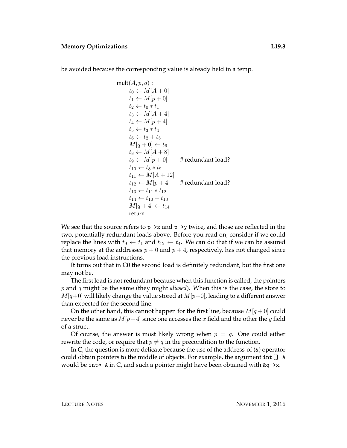be avoided because the corresponding value is already held in a temp.

$$
\begin{array}{l}\n\text{mult}(A, p, q): \\
t_0 \leftarrow M[A + 0] \\
t_1 \leftarrow M[p + 0] \\
t_2 \leftarrow t_0 * t_1 \\
t_3 \leftarrow M[A + 4] \\
t_4 \leftarrow M[p + 4] \\
t_5 \leftarrow t_3 * t_4 \\
t_6 \leftarrow t_2 + t_5 \\
M[q + 0] \leftarrow t_6 \\
t_8 \leftarrow M[A + 8] \\
t_9 \leftarrow M[p + 0] \\
t_1 \leftarrow t_8 * t_9 \\
t_{11} \leftarrow M[A + 12] \\
t_{12} \leftarrow M[p + 4] \\
t_{13} \leftarrow t_{11} * t_{12} \\
t_{14} \leftarrow t_{10} + t_{13} \\
M[q + 4] \leftarrow t_{14} \\
\text{return}\n\end{array}
$$

We see that the source refers to  $p\rightarrow x$  and  $p\rightarrow y$  twice, and those are reflected in the two, potentially redundant loads above. Before you read on, consider if we could replace the lines with  $t_9 \leftarrow t_1$  and  $t_{12} \leftarrow t_4$ . We can do that if we can be assured that memory at the addresses  $p + 0$  and  $p + 4$ , respectively, has not changed since the previous load instructions.

It turns out that in C0 the second load is definitely redundant, but the first one may not be.

The first load is not redundant because when this function is called, the pointers p and q might be the same (they might *aliased*). When this is the case, the store to  $M[q+0]$  will likely change the value stored at  $M[p+0]$ , leading to a different answer than expected for the second line.

On the other hand, this cannot happen for the first line, because  $M[q + 0]$  could never be the same as  $M[p+4]$  since one accesses the x field and the other the y field of a struct.

Of course, the answer is most likely wrong when  $p = q$ . One could either rewrite the code, or require that  $p \neq q$  in the precondition to the function.

In C, the question is more delicate because the use of the address-of (&) operator could obtain pointers to the middle of objects. For example, the argument int[] A would be int\* A in C, and such a pointer might have been obtained with  $\&q$ ->x.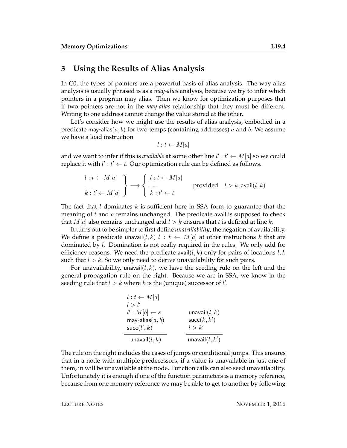#### **3 Using the Results of Alias Analysis**

In C0, the types of pointers are a powerful basis of alias analysis. The way alias analysis is usually phrased is as a *may-alias* analysis, because we try to infer which pointers in a program may alias. Then we know for optimization purposes that if two pointers are not in the *may-alias* relationship that they must be different. Writing to one address cannot change the value stored at the other.

Let's consider how we might use the results of alias analysis, embodied in a predicate may-alias( $a, b$ ) for two temps (containing addresses) a and b. We assume we have a load instruction

$$
l: t \leftarrow M[a]
$$

and we want to infer if this is *available* at some other line  $l' : t' \leftarrow M[a]$  so we could replace it with  $l' : t' \leftarrow t$ . Our optimization rule can be defined as follows.

$$
\begin{array}{l}\n l: t \leftarrow M[a] \\
 \ldots \\
 k: t' \leftarrow M[a] \n \end{array}\n \right\} \longrightarrow\n \begin{cases}\n l: t \leftarrow M[a] \\
 \ldots \\
 k: t' \leftarrow t\n \end{cases}\n \text{provided}\n \quad l > k, \text{avail}(l, k)
$$

The fact that l dominates k is sufficient here in SSA form to guarantee that the meaning of  $t$  and  $\alpha$  remains unchanged. The predicate avail is supposed to check that  $M[a]$  also remains unchanged and  $l > k$  ensures that t is defined at line k.

It turns out to be simpler to first define *unavailability*, the negation of availability. We define a predicate unavail $(l, k)$   $l : t \leftarrow M[a]$  at other instructions k that are dominated by l. Domination is not really required in the rules. We only add for efficiency reasons. We need the predicate avail  $(l, k)$  only for pairs of locations  $l, k$ such that  $l > k$ . So we only need to derive unavailability for such pairs.

For unavailability, unavail $(l, k)$ , we have the seeding rule on the left and the general propagation rule on the right. Because we are in SSA, we know in the seeding rule that  $l > k$  where k is the (unique) successor of  $l'$ .

| $l : t \leftarrow M[a]$ |                   |
|-------------------------|-------------------|
| l > l'                  |                   |
| $l': M[b] \leftarrow s$ | unavail $(l, k)$  |
| may-alias $(a, b)$      | succ(k, k')       |
| succ(l', k)             | l > k'            |
| unavail $(l,k)$         | unavail $(l, k')$ |

The rule on the right includes the cases of jumps or conditional jumps. This ensures that in a node with multiple predecessors, if a value is unavailable in just one of them, in will be unavailable at the node. Function calls can also seed unavailability. Unfortunately it is enough if one of the function parameters is a memory reference, because from one memory reference we may be able to get to another by following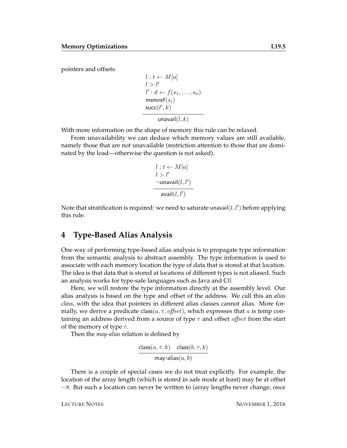pointers and offsets.

$$
l : t \leftarrow M[a]
$$
  
\n
$$
l > l'
$$
  
\n
$$
l' : d \leftarrow f(s_1, \dots, s_n)
$$
  
\n
$$
\text{member}(s_i)
$$
  
\n
$$
\text{succ}(l', k)
$$
  
\n
$$
\text{unavail}(l, k)
$$

With more information on the shape of memory this rule can be relaxed.

From unavailability we can deduce which memory values are still available, namely those that are not unavailable (restriction attention to those that are dominated by the load—otherwise the question is not asked).

$$
l : t \leftarrow M[a]
$$
  

$$
l > l'
$$
  

$$
\neg \text{unavail}(l, l')
$$
  

$$
\text{avail}(l, l')
$$

Note that stratification is required: we need to saturate unavail $(l, l')$  before applying this rule.

#### **4 Type-Based Alias Analysis**

One way of performing type-based alias analysis is to propagate type information from the semantic analysis to abstract assembly. The type information is used to associate with each memory location the type of data that is stored at that location. The idea is that data that is stored at locations of different types is not aliased. Such an analysis works for type-safe languages such as Java and C0.

Here, we will restore the type information directly at the assembly level. Our alias analysis is based on the type and offset of the address. We call this an *alias class*, with the idea that pointers in different alias classes cannot alias. More formally, we derive a predicate class( $a, \tau, \text{offset}$ ), which expresses that a is temp containing an address derived from a source of type  $\tau$  and offset *offset* from the start of the memory of type  $\tau$ .

Then the *may-alias* relation is defined by

$$
\frac{\text{class}(a, \tau, k) - \text{class}(b, \tau, k)}{\text{may-alias}(a, b)}
$$

There is a couple of special cases we do not treat explicitly. For example, the location of the array length (which is stored in safe mode at least) may be at offset −8. But such a location can never be written to (array lengths never change, once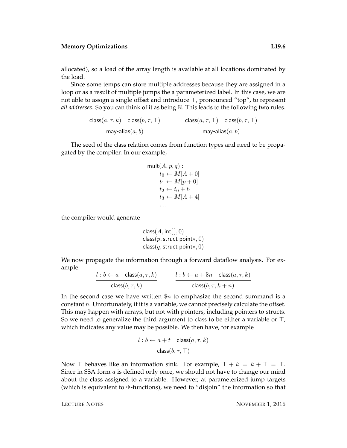allocated), so a load of the array length is available at all locations dominated by the load.

Since some temps can store multiple addresses because they are assigned in a loop or as a result of multiple jumps the a parameterized label. In this case, we are not able to assign a single offset and introduce  $\top$ , pronounced "top", to represent *all addresses*. So you can think of it as being N. This leads to the following two rules.

> $\mathsf{class}(a, \tau, k)$  class $(b, \tau, \top)$ may-alias $(a,b)$  $\mathsf{class}(a, \tau, \top)$  class $(b, \tau, \top)$ may-alias $(a,b)$

The seed of the class relation comes from function types and need to be propagated by the compiler. In our example,

$$
\begin{aligned}\n\text{mult}(A, p, q) : \\
t_0 &\leftarrow M[A + 0] \\
t_1 &\leftarrow M[p + 0] \\
t_2 &\leftarrow t_0 + t_1 \\
t_3 &\leftarrow M[A + 4]\n\end{aligned}
$$

the compiler would generate

```
class(A, int[ \,], 0)class(p,struct point*, 0)class(q,struct point*, 0)
```
We now propagate the information through a forward dataflow analysis. For example:

$$
\frac{l:b \leftarrow a \quad \text{class}(a, \tau, k)}{\text{class}(b, \tau, k)} \qquad \qquad \frac{l:b \leftarrow a + \$ n \quad \text{class}(a, \tau, k)}{\text{class}(b, \tau, k + n)}
$$

In the second case we have written  $\Re n$  to emphasize the second summand is a constant  $n$ . Unfortunately, if it is a variable, we cannot precisely calculate the offset. This may happen with arrays, but not with pointers, including pointers to structs. So we need to generalize the third argument to class to be either a variable or  $\top$ , which indicates any value may be possible. We then have, for example

$$
\frac{l:b \leftarrow a+t \quad \text{class}(a, \tau, k)}{\text{class}(b, \tau, \top)}
$$

Now  $\top$  behaves like an information sink. For example,  $\top + k = k + \top = \top$ . Since in SSA form a is defined only once, we should not have to change our mind about the class assigned to a variable. However, at parameterized jump targets (which is equivalent to  $\Phi$ -functions), we need to "disjoin" the information so that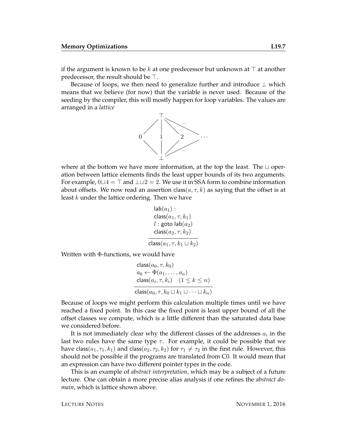if the argument is known to be k at one predecessor but unknown at  $\top$  at another predecessor, the result should be  $\top$ .

Because of loops, we then need to generalize further and introduce  $\perp$  which means that we believe (for now) that the variable is never used. Because of the seeding by the compiler, this will mostly happen for loop variables. The values are arranged in a *lattice*



where at the bottom we have more information, at the top the least. The  $\sqcup$  operation between lattice elements finds the least upper bounds of its two arguments. For example,  $0 \sqcup 4 = \top$  and  $\bot \sqcup 2 = 2$ . We use it in SSA form to combine information about offsets. We now read an assertion class( $a, \tau, k$ ) as saying that the offset is at least k under the lattice ordering. Then we have

$$
\begin{array}{l} \mathsf{lab}(a_1): \\ \mathsf{class}(a_1, \tau, k_1) \\ l:\mathsf{goto}\ \mathsf{lab}(a_2) \\ \mathsf{class}(a_2, \tau, k_2) \\ \hline \mathsf{class}(a_1, \tau, k_1 \sqcup k_2)\end{array}
$$

Written with Φ-functions, we would have

$$
\begin{aligned}\n\text{class}(a_0, \tau, k_0) \\
a_0 &\leftarrow \Phi(a_1, \dots, a_n) \\
\text{class}(a_i, \tau, k_i) \quad (1 \le k \le n) \\
\text{class}(a_0, \tau, k_0 \sqcup k_1 \sqcup \dots \sqcup k_n)\n\end{aligned}
$$

Because of loops we might perform this calculation multiple times until we have reached a fixed point. In this case the fixed point is least upper bound of all the offset classes we compute, which is a little different than the saturated data base we considered before.

It is not immediately clear why the different classes of the addresses  $a_i$  in the last two rules have the same type  $\tau$ . For example, it could be possible that we have class( $a_1, \tau_1, k_1$ ) and class( $a_2, \tau_2, k_2$ ) for  $\tau_1 \neq \tau_2$  in the first rule. However, this should not be possible if the programs are translated from C0. It would mean that an expression can have two different pointer types in the code.

This is an example of *abstract interpretation*, which may be a subject of a future lecture. One can obtain a more precise alias analysis if one refines the *abstract domain*, which is lattice shown above.